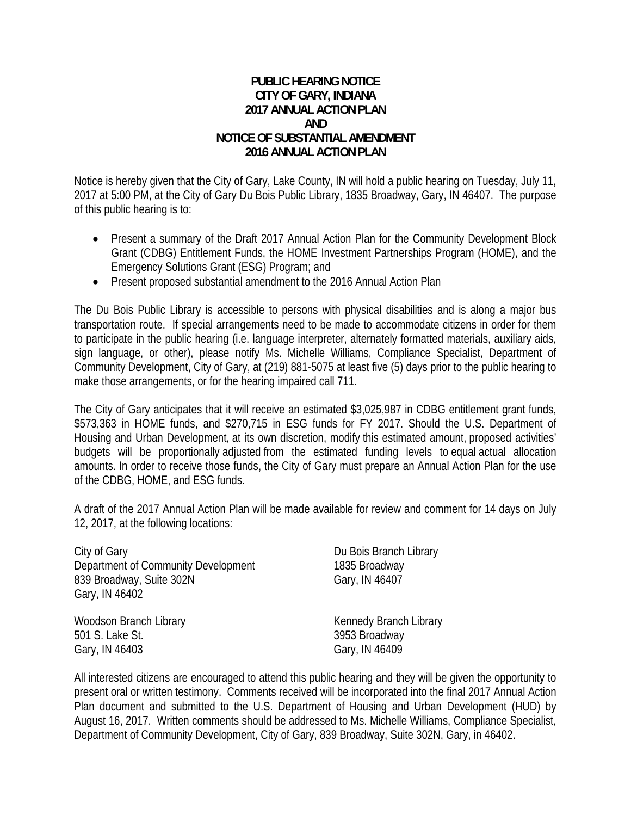## **PUBLIC HEARING NOTICE CITY OF GARY, INDIANA 2017 ANNUAL ACTION PLAN AND NOTICE OF SUBSTANTIAL AMENDMENT 2016 ANNUAL ACTION PLAN**

Notice is hereby given that the City of Gary, Lake County, IN will hold a public hearing on Tuesday, July 11, 2017 at 5:00 PM, at the City of Gary Du Bois Public Library, 1835 Broadway, Gary, IN 46407. The purpose of this public hearing is to:

- Present a summary of the Draft 2017 Annual Action Plan for the Community Development Block Grant (CDBG) Entitlement Funds, the HOME Investment Partnerships Program (HOME), and the Emergency Solutions Grant (ESG) Program; and
- Present proposed substantial amendment to the 2016 Annual Action Plan

The Du Bois Public Library is accessible to persons with physical disabilities and is along a major bus transportation route. If special arrangements need to be made to accommodate citizens in order for them to participate in the public hearing (i.e. language interpreter, alternately formatted materials, auxiliary aids, sign language, or other), please notify Ms. Michelle Williams, Compliance Specialist, Department of Community Development, City of Gary, at (219) 881-5075 at least five (5) days prior to the public hearing to make those arrangements, or for the hearing impaired call 711.

The City of Gary anticipates that it will receive an estimated \$3,025,987 in CDBG entitlement grant funds, \$573,363 in HOME funds, and \$270,715 in ESG funds for FY 2017. Should the U.S. Department of Housing and Urban Development, at its own discretion, modify this estimated amount, proposed activities' budgets will be proportionally adjusted from the estimated funding levels to equal actual allocation amounts. In order to receive those funds, the City of Gary must prepare an Annual Action Plan for the use of the CDBG, HOME, and ESG funds.

A draft of the 2017 Annual Action Plan will be made available for review and comment for 14 days on July 12, 2017, at the following locations:

City of Gary **Du Bois Branch Library** Department of Community Development 1835 Broadway 839 Broadway, Suite 302N Gary, IN 46407 Gary, IN 46402 Woodson Branch Library Network Channedy Branch Library 501 S. Lake St. 3953 Broadway Gary, IN 46403 Gary, IN 46409

All interested citizens are encouraged to attend this public hearing and they will be given the opportunity to present oral or written testimony. Comments received will be incorporated into the final 2017 Annual Action Plan document and submitted to the U.S. Department of Housing and Urban Development (HUD) by August 16, 2017. Written comments should be addressed to Ms. Michelle Williams, Compliance Specialist, Department of Community Development, City of Gary, 839 Broadway, Suite 302N, Gary, in 46402.